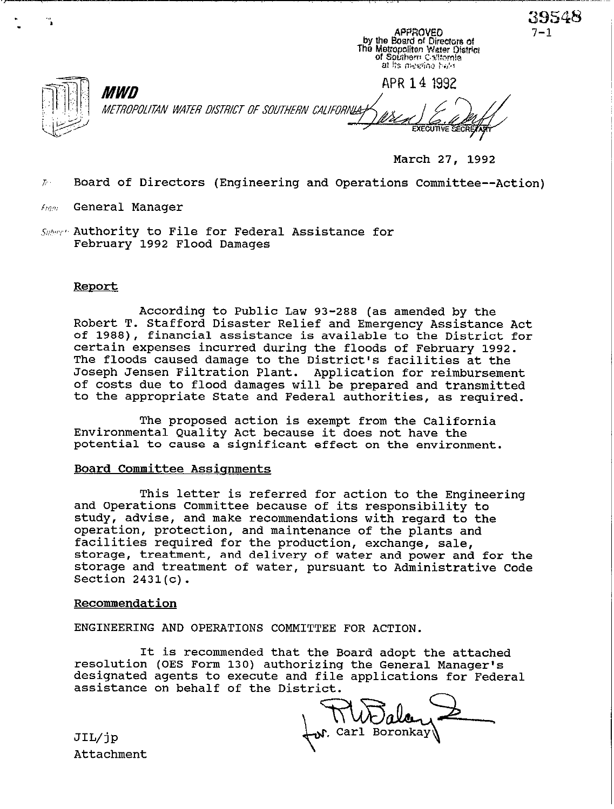APPROVED by the Board of Directors of The Metropoliten Water District<br>of Sputhern California at its meeting hald **APR 14 1992**  *MWD* METROPOLITAN WATER DISTRICT OF SOUTHERN CALIFORNIA

**March 27, 1992** 

39548

 $7 - 1$ 

**Board of Directors (Engineering and Operations Committee--Action)**   $\mathcal{T}_{\mathcal{C}}$ .

**General Manager**  Fram

. -

**Authority to File for Federal Assistance for February 1992 Flood Damages** 

## **Report**

**According to Public Law 93-288 (as amended by the Robert T. Stafford Disaster Relief and Emergency Assistance Act of 1988), financial assistance is available to the District for certain expenses incurred during the floods of February 1992. The floods caused damage to the District's facilities at the Joseph Jensen Filtration Plant. Application for reimbursement of costs due to flood damages will be prepared and transmitted to the appropriate State and Federal authorities, as required.** 

**The proposed action is exempt from the California Environmental Quality Act because it does not have the potential to cause a significant effect on the environment.** 

## **Board Committee Assisnments**

**This letter is referred for action to the Engineering and Operations Committee because of its responsibility to study, advise, and make recommendations with regard to the operation, protection, and maintenance of the plants and facilities required for the production, exchange, sale, storage, treatment, and delivery of water and power and for the storage and treatment of water, pursuant to Administrative Code Section 2431(c).** 

## **Recommendation**

**ENGINEERING AND OPERATIONS COMMITTEE FOR ACTION.** 

**It is recommended that the Board adopt the attached resolution (OES Form 130) authorizing the General Manager's designated agents to execute and file applications for Federal assistance on behalf of the District.** 

**, Carl Boronkay** 

JIL/jp **Attachment**